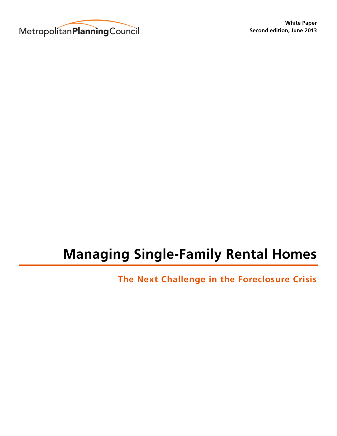

# **Managing Single-Family Rental Homes**

**The Next Challenge in the Foreclosure Crisis**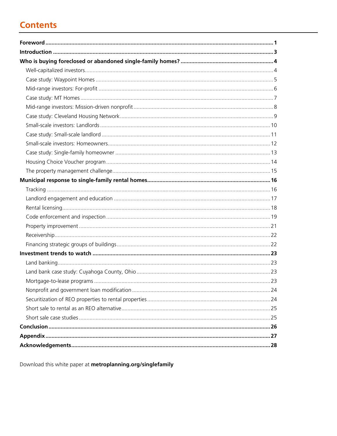# **Contents**

Download this white paper at metroplanning.org/singlefamily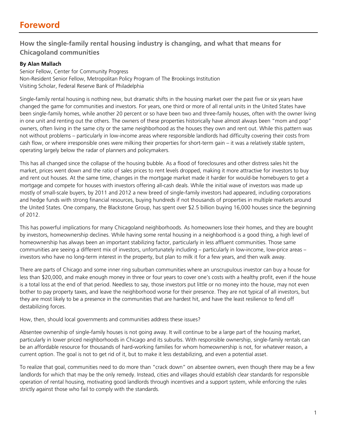# **Foreword**

# **How the single-family rental housing industry is changing, and what that means for Chicagoland communities**

#### **By Alan Mallach**

Senior Fellow, Center for Community Progress Non-Resident Senior Fellow, Metropolitan Policy Program of The Brookings Institution Visiting Scholar, Federal Reserve Bank of Philadelphia

Single-family rental housing is nothing new, but dramatic shifts in the housing market over the past five or six years have changed the game for communities and investors. For years, one third or more of all rental units in the United States have been single-family homes, while another 20 percent or so have been two and three-family houses, often with the owner living in one unit and renting out the others. The owners of these properties historically have almost always been "mom and pop" owners, often living in the same city or the same neighborhood as the houses they own and rent out. While this pattern was not without problems – particularly in low-income areas where responsible landlords had difficulty covering their costs from cash flow, or where irresponsible ones were milking their properties for short-term gain – it was a relatively stable system, operating largely below the radar of planners and policymakers.

This has all changed since the collapse of the housing bubble. As a flood of foreclosures and other distress sales hit the market, prices went down and the ratio of sales prices to rent levels dropped, making it more attractive for investors to buy and rent out houses. At the same time, changes in the mortgage market made it harder for would-be homebuyers to get a mortgage and compete for houses with investors offering all-cash deals. While the initial wave of investors was made up mostly of small-scale buyers, by 2011 and 2012 a new breed of single-family investors had appeared, including corporations and hedge funds with strong financial resources, buying hundreds if not thousands of properties in multiple markets around the United States. One company, the Blackstone Group, has spent over \$2.5 billion buying 16,000 houses since the beginning of 2012.

This has powerful implications for many Chicagoland neighborhoods. As homeowners lose their homes, and they are bought by investors, homeownership declines. While having some rental housing in a neighborhood is a good thing, a high level of homeownership has always been an important stabilizing factor, particularly in less affluent communities. Those same communities are seeing a different mix of investors, unfortunately including – particularly in low-income, low-price areas – investors who have no long-term interest in the property, but plan to milk it for a few years, and then walk away.

There are parts of Chicago and some inner ring suburban communities where an unscrupulous investor can buy a house for less than \$20,000, and make enough money in three or four years to cover one's costs with a healthy profit, even if the house is a total loss at the end of that period. Needless to say, those investors put little or no money into the house, may not even bother to pay property taxes, and leave the neighborhood worse for their presence. They are not typical of all investors, but they are most likely to be a presence in the communities that are hardest hit, and have the least resilience to fend off destabilizing forces.

How, then, should local governments and communities address these issues?

Absentee ownership of single-family houses is not going away. It will continue to be a large part of the housing market, particularly in lower priced neighborhoods in Chicago and its suburbs. With responsible ownership, single-family rentals can be an affordable resource for thousands of hard-working families for whom homeownership is not, for whatever reason, a current option. The goal is not to get rid of it, but to make it less destabilizing, and even a potential asset.

To realize that goal, communities need to do more than "crack down" on absentee owners, even though there may be a few landlords for which that may be the only remedy. Instead, cities and villages should establish clear standards for responsible operation of rental housing, motivating good landlords through incentives and a support system, while enforcing the rules strictly against those who fail to comply with the standards.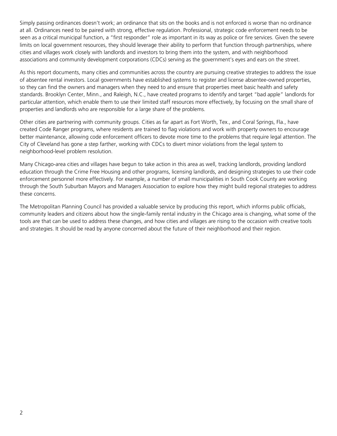Simply passing ordinances doesn't work; an ordinance that sits on the books and is not enforced is worse than no ordinance at all. Ordinances need to be paired with strong, effective regulation. Professional, strategic code enforcement needs to be seen as a critical municipal function, a "first responder" role as important in its way as police or fire services. Given the severe limits on local government resources, they should leverage their ability to perform that function through partnerships, where cities and villages work closely with landlords and investors to bring them into the system, and with neighborhood associations and community development corporations (CDCs) serving as the government's eyes and ears on the street.

As this report documents, many cities and communities across the country are pursuing creative strategies to address the issue of absentee rental investors. Local governments have established systems to register and license absentee-owned properties, so they can find the owners and managers when they need to and ensure that properties meet basic health and safety standards. Brooklyn Center, Minn., and Raleigh, N.C., have created programs to identify and target "bad apple" landlords for particular attention, which enable them to use their limited staff resources more effectively, by focusing on the small share of properties and landlords who are responsible for a large share of the problems.

Other cities are partnering with community groups. Cities as far apart as Fort Worth, Tex., and Coral Springs, Fla., have created Code Ranger programs, where residents are trained to flag violations and work with property owners to encourage better maintenance, allowing code enforcement officers to devote more time to the problems that require legal attention. The City of Cleveland has gone a step farther, working with CDCs to divert minor violations from the legal system to neighborhood-level problem resolution.

Many Chicago-area cities and villages have begun to take action in this area as well, tracking landlords, providing landlord education through the Crime Free Housing and other programs, licensing landlords, and designing strategies to use their code enforcement personnel more effectively. For example, a number of small municipalities in South Cook County are working through the South Suburban Mayors and Managers Association to explore how they might build regional strategies to address these concerns.

The Metropolitan Planning Council has provided a valuable service by producing this report, which informs public officials, community leaders and citizens about how the single-family rental industry in the Chicago area is changing, what some of the tools are that can be used to address these changes, and how cities and villages are rising to the occasion with creative tools and strategies. It should be read by anyone concerned about the future of their neighborhood and their region.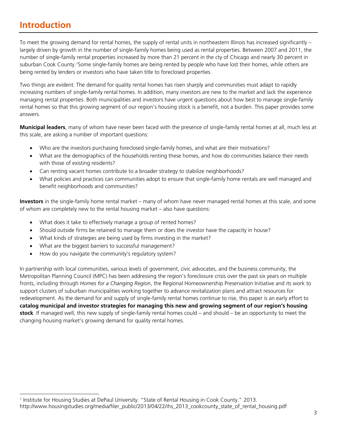# **Introduction**

-

To meet the growing demand for rental homes, the supply of rental units in northeastern Illinois has increased significantly – largely driven by growth in the number of single-family homes being used as rental properties. Between 2007 and 2011, the number of single-family rental properties increased by more than 21 percent in the cty of Chicago and nearly 30 percent in suburban Cook County.<sup>1</sup>Some single-family homes are being rented by people who have lost their homes, while others are being rented by lenders or investors who have taken title to foreclosed properties.

Two things are evident: The demand for quality rental homes has risen sharply and communities must adapt to rapidly increasing numbers of single-family rental homes. In addition, many investors are new to the market and lack the experience managing rental properties. Both municipalities and investors have urgent questions about how best to manage single-family rental homes so that this growing segment of our region's housing stock is a benefit, not a burden. This paper provides some answers.

**Municipal leaders**, many of whom have never been faced with the presence of single-family rental homes at all, much less at this scale, are asking a number of important questions:

- Who are the investors purchasing foreclosed single-family homes, and what are their motivations?
- What are the demographics of the households renting these homes, and how do communities balance their needs with those of existing residents?
- Can renting vacant homes contribute to a broader strategy to stabilize neighborhoods?
- What policies and practices can communities adopt to ensure that single-family home rentals are well managed and benefit neighborhoods and communities?

**Investors** in the single-family home rental market – many of whom have never managed rental homes at this scale, and some of whom are completely new to the rental housing market – also have questions:

- What does it take to effectively manage a group of rented homes?
- Should outside firms be retained to manage them or does the investor have the capacity in house?
- What kinds of strategies are being used by firms investing in the market?
- What are the biggest barriers to successful management?
- How do you navigate the community's regulatory system?

In partnership with local communities, various levels of government, civic advocates, and the business community, the Metropolitan Planning Council (MPC) has been addressing the region's foreclosure crisis over the past six years on multiple fronts, including through *Homes for a Changing Region*, the Regional Homeownership Preservation Initiative and its work to support clusters of suburban municipalities working together to advance revitalization plans and attract resources for redevelopment. As the demand for and supply of single-family rental homes continue to rise, this paper is an early effort to **catalog municipal and investor strategies for managing this new and growing segment of our region's housing stock**. If managed well, this new supply of single-family rental homes could – and should – be an opportunity to meet the changing housing market's growing demand for quality rental homes.

<sup>&</sup>lt;sup>1</sup> Institute for Housing Studies at DePaul University. "State of Rental Housing in Cook County." 2013. http://www.housingstudies.org/media/filer\_public/2013/04/22/ihs\_2013\_cookcounty\_state\_of\_rental\_housing.pdf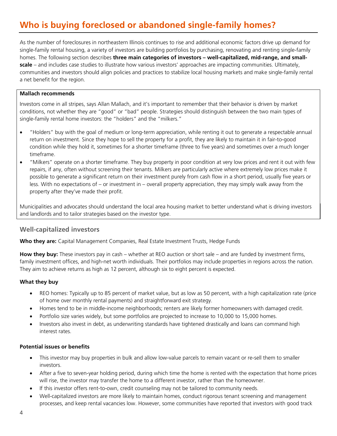# **Who is buying foreclosed or abandoned single-family homes?**

As the number of foreclosures in northeastern Illinois continues to rise and additional economic factors drive up demand for single-family rental housing, a variety of investors are building portfolios by purchasing, renovating and renting single-family homes. The following section describes **three main categories of investors – well-capitalized, mid-range, and smallscale** – and includes case studies to illustrate how various investors' approaches are impacting communities. Ultimately, communities and investors should align policies and practices to stabilize local housing markets and make single-family rental a net benefit for the region.

#### **Mallach recommends**

Investors come in all stripes, says Allan Mallach, and it's important to remember that their behavior is driven by market conditions, not whether they are "good" or "bad" people. Strategies should distinguish between the two main types of single-family rental home investors: the "holders" and the "milkers."

- "Holders" buy with the goal of medium or long-term appreciation, while renting it out to generate a respectable annual return on investment. Since they hope to sell the property for a profit, they are likely to maintain it in fair-to-good condition while they hold it, sometimes for a shorter timeframe (three to five years) and sometimes over a much longer timeframe.
- "Milkers" operate on a shorter timeframe. They buy property in poor condition at very low prices and rent it out with few repairs, if any, often without screening their tenants. Milkers are particularly active where extremely low prices make it possible to generate a significant return on their investment purely from cash flow in a short period, usually five years or less. With no expectations of – or investment in – overall property appreciation, they may simply walk away from the property after they've made their profit.

Municipalities and advocates should understand the local area housing market to better understand what is driving investors and landlords and to tailor strategies based on the investor type.

#### **Well-capitalized investors**

**Who they are:** Capital Management Companies, Real Estate Investment Trusts, Hedge Funds

**How they buy:** These investors pay in cash – whether at REO auction or short sale – and are funded by investment firms, family investment offices, and high-net worth individuals. Their portfolios may include properties in regions across the nation. They aim to achieve returns as high as 12 percent, although six to eight percent is expected.

#### **What they buy**

- REO homes: Typically up to 85 percent of market value, but as low as 50 percent, with a high capitalization rate (price of home over monthly rental payments) and straightforward exit strategy.
- Homes tend to be in middle-income neighborhoods; renters are likely former homeowners with damaged credit.
- Portfolio size varies widely, but some portfolios are projected to increase to 10,000 to 15,000 homes.
- Investors also invest in debt, as underwriting standards have tightened drastically and loans can command high interest rates.

#### **Potential issues or benefits**

- This investor may buy properties in bulk and allow low-value parcels to remain vacant or re-sell them to smaller investors.
- After a five to seven-year holding period, during which time the home is rented with the expectation that home prices will rise, the investor may transfer the home to a different investor, rather than the homeowner.
- If this investor offers rent-to-own, credit counseling may not be tailored to community needs.
- Well-capitalized investors are more likely to maintain homes, conduct rigorous tenant screening and management processes, and keep rental vacancies low. However, some communities have reported that investors with good track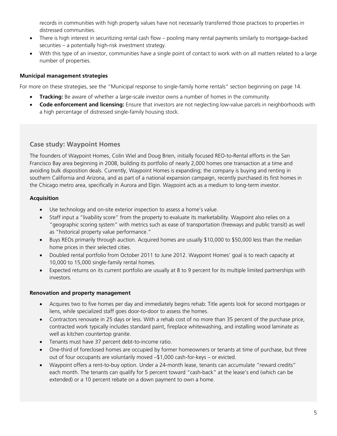records in communities with high property values have not necessarily transferred those practices to properties in distressed communities.

- There is high interest in securitizing rental cash flow pooling many rental payments similarly to mortgage-backed securities – a potentially high-risk investment strategy.
- With this type of an investor, communities have a single point of contact to work with on all matters related to a large number of properties.

#### **Municipal management strategies**

For more on these strategies, see the "Municipal response to single-family home rentals" section beginning on page 14.

- **Tracking:** Be aware of whether a large-scale investor owns a number of homes in the community.
- **Code enforcement and licensing:** Ensure that investors are not neglecting low-value parcels in neighborhoods with a high percentage of distressed single-family housing stock.

### **Case study: Waypoint Homes**

The founders of Waypoint Homes, Colin Wiel and Doug Brien, initially focused REO-to-Rental efforts in the San Francisco Bay area beginning in 2008, building its portfolio of nearly 2,000 homes one transaction at a time and avoiding bulk disposition deals. Currently, Waypoint Homes is expanding; the company is buying and renting in southern California and Arizona, and as part of a national expansion campaign, recently purchased its first homes in the Chicago metro area, specifically in Aurora and Elgin. Waypoint acts as a medium to long-term investor.

#### **Acquisition**

- Use technology and on-site exterior inspection to assess a home's value.
- Staff input a "livability score" from the property to evaluate its marketability. Waypoint also relies on a "geographic scoring system" with metrics such as ease of transportation (freeways and public transit) as well as "historical property value performance."
- Buys REOs primarily through auction. Acquired homes are usually \$10,000 to \$50,000 less than the median home prices in their selected cities.
- Doubled rental portfolio from October 2011 to June 2012. Waypoint Homes' goal is to reach capacity at 10,000 to 15,000 single-family rental homes.
- Expected returns on its current portfolio are usually at 8 to 9 percent for its multiple limited partnerships with investors.

#### **Renovation and property management**

- Acquires two to five homes per day and immediately begins rehab: Title agents look for second mortgages or liens, while specialized staff goes door-to-door to assess the homes.
- Contractors renovate in 25 days or less. With a rehab cost of no more than 35 percent of the purchase price, contracted work typically includes standard paint, fireplace whitewashing, and installing wood laminate as well as kitchen countertop granite.
- Tenants must have 37 percent debt-to-income ratio.
- One-third of foreclosed homes are occupied by former homeowners or tenants at time of purchase, but three out of four occupants are voluntarily moved –\$1,000 cash-for-keys – or evicted.
- Waypoint offers a rent-to-buy option. Under a 24-month lease, tenants can accumulate "reward credits" each month. The tenants can qualify for 5 percent toward "cash-back" at the lease's end (which can be extended) or a 10 percent rebate on a down payment to own a home.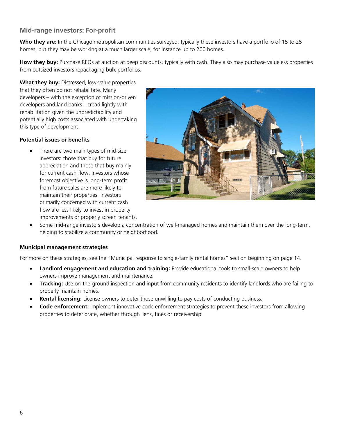# **Mid-range investors: For-profit**

**Who they are:** In the Chicago metropolitan communities surveyed, typically these investors have a portfolio of 15 to 25 homes, but they may be working at a much larger scale, for instance up to 200 homes.

**How they buy:** Purchase REOs at auction at deep discounts, typically with cash. They also may purchase valueless properties from outsized investors repackaging bulk portfolios.

**What they buy:** Distressed, low-value properties that they often do not rehabilitate. Many developers – with the exception of mission-driven developers and land banks – tread lightly with rehabilitation given the unpredictability and potentially high costs associated with undertaking this type of development.

#### **Potential issues or benefits**

There are two main types of mid-size investors: those that buy for future appreciation and those that buy mainly for current cash flow. Investors whose foremost objective is long-term profit from future sales are more likely to maintain their properties. Investors primarily concerned with current cash flow are less likely to invest in property improvements or properly screen tenants.



• Some mid-range investors develop a concentration of well-managed homes and maintain them over the long-term, helping to stabilize a community or neighborhood.

#### **Municipal management strategies**

For more on these strategies, see the "Municipal response to single-family rental homes" section beginning on page 14.

- **Landlord engagement and education and training:** Provide educational tools to small-scale owners to help owners improve management and maintenance.
- **Tracking:** Use on-the-ground inspection and input from community residents to identify landlords who are failing to properly maintain homes.
- **Rental licensing:** License owners to deter those unwilling to pay costs of conducting business.
- **Code enforcement:** Implement innovative code enforcement strategies to prevent these investors from allowing properties to deteriorate, whether through liens, fines or receivership.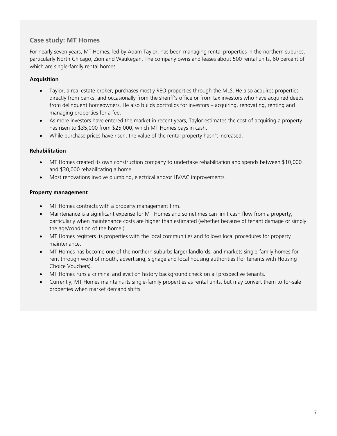# **Case study: MT Homes**

For nearly seven years, MT Homes, led by Adam Taylor, has been managing rental properties in the northern suburbs, particularly North Chicago, Zion and Waukegan. The company owns and leases about 500 rental units, 60 percent of which are single-family rental homes.

#### **Acquisition**

- Taylor, a real estate broker, purchases mostly REO properties through the MLS. He also acquires properties directly from banks, and occasionally from the sheriff's office or from tax investors who have acquired deeds from delinquent homeowners. He also builds portfolios for investors – acquiring, renovating, renting and managing properties for a fee.
- As more investors have entered the market in recent years, Taylor estimates the cost of acquiring a property has risen to \$35,000 from \$25,000, which MT Homes pays in cash.
- While purchase prices have risen, the value of the rental property hasn't increased.

#### **Rehabilitation**

- MT Homes created its own construction company to undertake rehabilitation and spends between \$10,000 and \$30,000 rehabilitating a home.
- Most renovations involve plumbing, electrical and/or HV/AC improvements.

#### **Property management**

- MT Homes contracts with a property management firm.
- Maintenance is a significant expense for MT Homes and sometimes can limit cash flow from a property, particularly when maintenance costs are higher than estimated (whether because of tenant damage or simply the age/condition of the home.)
- MT Homes registers its properties with the local communities and follows local procedures for property maintenance.
- MT Homes has become one of the northern suburbs larger landlords, and markets single-family homes for rent through word of mouth, advertising, signage and local housing authorities (for tenants with Housing Choice Vouchers).
- MT Homes runs a criminal and eviction history background check on all prospective tenants.
- Currently, MT Homes maintains its single-family properties as rental units, but may convert them to for-sale properties when market demand shifts.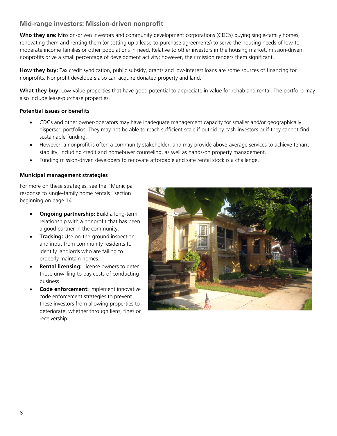# **Mid-range investors: Mission-driven nonprofit**

**Who they are:** Mission-driven investors and community development corporations (CDCs) buying single-family homes, renovating them and renting them (or setting up a lease-to-purchase agreements) to serve the housing needs of low-tomoderate income families or other populations in need. Relative to other investors in the housing market, mission-driven nonprofits drive a small percentage of development activity; however, their mission renders them significant.

**How they buy:** Tax credit syndication, public subsidy, grants and low-interest loans are some sources of financing for nonprofits. Nonprofit developers also can acquire donated property and land.

What they buy: Low-value properties that have good potential to appreciate in value for rehab and rental. The portfolio may also include lease-purchase properties.

#### **Potential issues or benefits**

- CDCs and other owner-operators may have inadequate management capacity for smaller and/or geographically dispersed portfolios. They may not be able to reach sufficient scale if outbid by cash-investors or if they cannot find sustainable funding.
- However, a nonprofit is often a community stakeholder, and may provide above-average services to achieve tenant stability, including credit and homebuyer counseling, as well as hands-on property management.
- Funding mission-driven developers to renovate affordable and safe rental stock is a challenge.

#### **Municipal management strategies**

For more on these strategies, see the "Municipal response to single-family home rentals" section beginning on page 14.

- **Ongoing partnership:** Build a long-term relationship with a nonprofit that has been a good partner in the community.
- **Tracking:** Use on-the-ground inspection and input from community residents to identify landlords who are failing to properly maintain homes.
- **Rental licensing:** License owners to deter those unwilling to pay costs of conducting business.
- **Code enforcement:** Implement innovative code enforcement strategies to prevent these investors from allowing properties to deteriorate, whether through liens, fines or receivership.

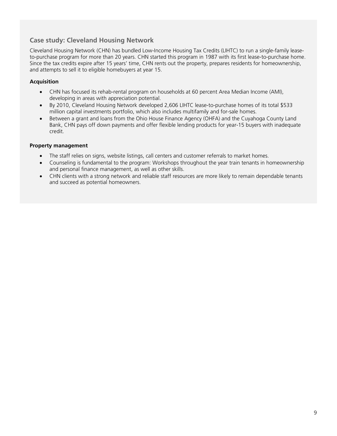# **Case study: Cleveland Housing Network**

Cleveland Housing Network (CHN) has bundled Low-Income Housing Tax Credits (LIHTC) to run a single-family leaseto-purchase program for more than 20 years. CHN started this program in 1987 with its first lease-to-purchase home. Since the tax credits expire after 15 years' time, CHN rents out the property, prepares residents for homeownership, and attempts to sell it to eligible homebuyers at year 15.

#### **Acquisition**

- CHN has focused its rehab-rental program on households at 60 percent Area Median Income (AMI), developing in areas with appreciation potential.
- By 2010, Cleveland Housing Network developed 2,606 LIHTC lease-to-purchase homes of its total \$533 million capital investments portfolio, which also includes multifamily and for-sale homes.
- Between a grant and loans from the Ohio House Finance Agency (OHFA) and the Cuyahoga County Land Bank, CHN pays off down payments and offer flexible lending products for year-15 buyers with inadequate credit.

#### **Property management**

- The staff relies on signs, website listings, call centers and customer referrals to market homes.
- Counseling is fundamental to the program: Workshops throughout the year train tenants in homeownership and personal finance management, as well as other skills.
- CHN clients with a strong network and reliable staff resources are more likely to remain dependable tenants and succeed as potential homeowners.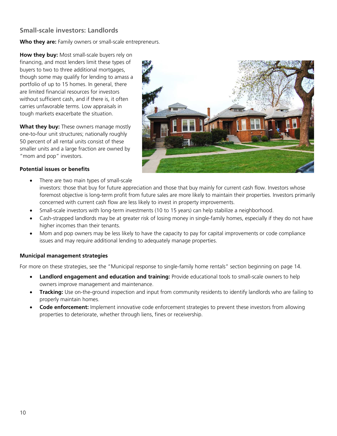# **Small-scale investors: Landlords**

Who they are: Family owners or small-scale entrepreneurs.

**How they buy:** Most small-scale buyers rely on financing, and most lenders limit these types of buyers to two to three additional mortgages, though some may qualify for lending to amass a portfolio of up to 15 homes. In general, there are limited financial resources for investors without sufficient cash, and if there is, it often carries unfavorable terms. Low appraisals in tough markets exacerbate the situation.

**What they buy:** These owners manage mostly one-to-four unit structures; nationally roughly 50 percent of all rental units consist of these smaller units and a large fraction are owned by "mom and pop" investors.



#### **Potential issues or benefits**

There are two main types of small-scale

investors: those that buy for future appreciation and those that buy mainly for current cash flow. Investors whose foremost objective is long-term profit from future sales are more likely to maintain their properties. Investors primarily concerned with current cash flow are less likely to invest in property improvements.

- Small-scale investors with long-term investments (10 to 15 years) can help stabilize a neighborhood.
- Cash-strapped landlords may be at greater risk of losing money in single-family homes, especially if they do not have higher incomes than their tenants.
- Mom and pop owners may be less likely to have the capacity to pay for capital improvements or code compliance issues and may require additional lending to adequately manage properties.

#### **Municipal management strategies**

For more on these strategies, see the "Municipal response to single-family home rentals" section beginning on page 14.

- **Landlord engagement and education and training:** Provide educational tools to small-scale owners to help owners improve management and maintenance.
- **Tracking:** Use on-the-ground inspection and input from community residents to identify landlords who are failing to properly maintain homes.
- **Code enforcement:** Implement innovative code enforcement strategies to prevent these investors from allowing properties to deteriorate, whether through liens, fines or receivership.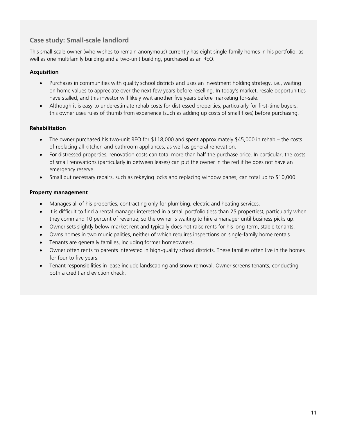# **Case study: Small-scale landlord**

This small-scale owner (who wishes to remain anonymous) currently has eight single-family homes in his portfolio, as well as one multifamily building and a two-unit building, purchased as an REO.

### **Acquisition**

- Purchases in communities with quality school districts and uses an investment holding strategy, i.e., waiting on home values to appreciate over the next few years before reselling. In today's market, resale opportunities have stalled, and this investor will likely wait another five years before marketing for-sale.
- Although it is easy to underestimate rehab costs for distressed properties, particularly for first-time buyers, this owner uses rules of thumb from experience (such as adding up costs of small fixes) before purchasing.

#### **Rehabilitation**

- The owner purchased his two-unit REO for \$118,000 and spent approximately \$45,000 in rehab the costs of replacing all kitchen and bathroom appliances, as well as general renovation.
- For distressed properties, renovation costs can total more than half the purchase price. In particular, the costs of small renovations (particularly in between leases) can put the owner in the red if he does not have an emergency reserve.
- Small but necessary repairs, such as rekeying locks and replacing window panes, can total up to \$10,000.

#### **Property management**

- Manages all of his properties, contracting only for plumbing, electric and heating services.
- It is difficult to find a rental manager interested in a small portfolio (less than 25 properties), particularly when they command 10 percent of revenue, so the owner is waiting to hire a manager until business picks up.
- Owner sets slightly below-market rent and typically does not raise rents for his long-term, stable tenants.
- Owns homes in two municipalities, neither of which requires inspections on single-family home rentals.
- Tenants are generally families, including former homeowners.
- Owner often rents to parents interested in high-quality school districts. These families often live in the homes for four to five years.
- Tenant responsibilities in lease include landscaping and snow removal. Owner screens tenants, conducting both a credit and eviction check.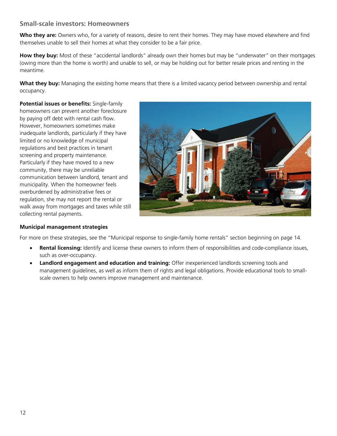# **Small-scale investors: Homeowners**

**Who they are:** Owners who, for a variety of reasons, desire to rent their homes. They may have moved elsewhere and find themselves unable to sell their homes at what they consider to be a fair price.

**How they buy:** Most of these "accidental landlords" already own their homes but may be "underwater" on their mortgages (owing more than the home is worth) and unable to sell, or may be holding out for better resale prices and renting in the meantime.

**What they buy:** Managing the existing home means that there is a limited vacancy period between ownership and rental occupancy.

**Potential issues or benefits:** Single-family homeowners can prevent another foreclosure by paying off debt with rental cash flow. However, homeowners sometimes make inadequate landlords, particularly if they have limited or no knowledge of municipal regulations and best practices in tenant screening and property maintenance. Particularly if they have moved to a new community, there may be unreliable communication between landlord, tenant and municipality. When the homeowner feels overburdened by administrative fees or regulation, she may not report the rental or walk away from mortgages and taxes while still collecting rental payments.



#### **Municipal management strategies**

For more on these strategies, see the "Municipal response to single-family home rentals" section beginning on page 14.

- **Rental licensing:** Identify and license these owners to inform them of responsibilities and code-compliance issues, such as over-occupancy.
- **Landlord engagement and education and training:** Offer inexperienced landlords screening tools and management guidelines, as well as inform them of rights and legal obligations. Provide educational tools to smallscale owners to help owners improve management and maintenance.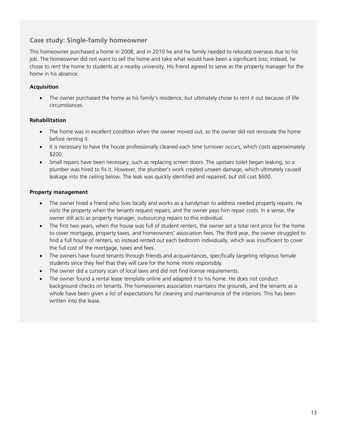# **Case study: Single-family homeowner**

This homeowner purchased a home in 2008, and in 2010 he and his family needed to relocate overseas due to his job. The homeowner did not want to sell the home and take what would have been a significant loss; instead, he chose to rent the home to students at a nearby university. His friend agreed to serve as the property manager for the home in his absence.

#### **Acquisition**

The owner purchased the home as his family's residence, but ultimately chose to rent it out because of life circumstances.

#### **Rehabilitation**

- The home was in excellent condition when the owner moved out, so the owner did not renovate the home before renting it.
- It is necessary to have the house professionally cleaned each time turnover occurs, which costs approximately \$200.
- Small repairs have been necessary, such as replacing screen doors. The upstairs toilet began leaking, so a plumber was hired to fix it. However, the plumber's work created unseen damage, which ultimately caused leakage into the ceiling below. The leak was quickly identified and repaired, but still cost \$600.

#### **Property management**

- The owner hired a friend who lives locally and works as a handyman to address needed property repairs. He visits the property when the tenants request repairs, and the owner pays him repair costs. In a sense, the owner still acts as property manager, outsourcing repairs to this individual.
- The first two years, when the house was full of student renters, the owner set a total rent price for the home to cover mortgage, property taxes, and homeowners' association fees. The third year, the owner struggled to find a full house of renters, so instead rented out each bedroom individually, which was insufficient to cover the full cost of the mortgage, taxes and fees.
- The owners have found tenants through friends and acquaintances, specifically targeting religious female students since they feel that they will care for the home more responsibly.
- The owner did a cursory scan of local laws and did not find license requirements.
- The owner found a rental lease template online and adapted it to his home. He does not conduct background checks on tenants. The homeowners association maintains the grounds, and the tenants as a whole have been given a list of expectations for cleaning and maintenance of the interiors. This has been written into the lease.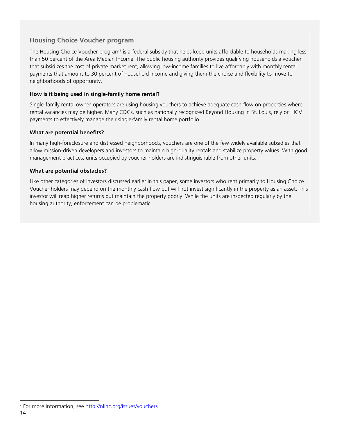# **Housing Choice Voucher program**

The Housing Choice Voucher program<sup>2</sup> is a federal subsidy that helps keep units affordable to households making less than 50 percent of the Area Median Income. The public housing authority provides qualifying households a voucher that subsidizes the cost of private market rent, allowing low-income families to live affordably with monthly rental payments that amount to 30 percent of household income and giving them the choice and flexibility to move to neighborhoods of opportunity.

#### **How is it being used in single-family home rental?**

Single-family rental owner-operators are using housing vouchers to achieve adequate cash flow on properties where rental vacancies may be higher. Many CDCs, such as nationally recognized Beyond Housing in St. Louis, rely on HCV payments to effectively manage their single-family rental home portfolio.

#### **What are potential benefits?**

In many high-foreclosure and distressed neighborhoods, vouchers are one of the few widely available subsidies that allow mission-driven developers and investors to maintain high-quality rentals and stabilize property values. With good management practices, units occupied by voucher holders are indistinguishable from other units.

#### **What are potential obstacles?**

Like other categories of investors discussed earlier in this paper, some investors who rent primarily to Housing Choice Voucher holders may depend on the monthly cash flow but will not invest significantly in the property as an asset. This investor will reap higher returns but maintain the property poorly. While the units are inspected regularly by the housing authority, enforcement can be problematic.

<sup>-</sup><sup>2</sup> For more information, see http://nlihc.org/issues/vouchers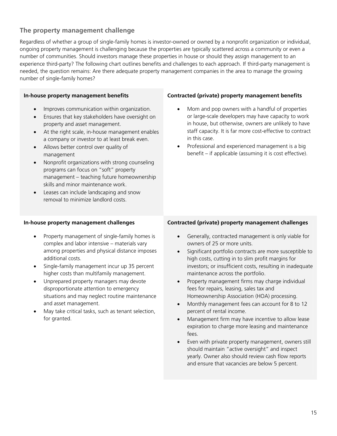# **The property management challenge**

Regardless of whether a group of single-family homes is investor-owned or owned by a nonprofit organization or individual, ongoing property management is challenging because the properties are typically scattered across a community or even a number of communities. Should investors manage these properties in house or should they assign management to an experience third-party? The following chart outlines benefits and challenges to each approach. If third-party management is needed, the question remains: Are there adequate property management companies in the area to manage the growing number of single-family homes?

#### **In-house property management benefits**

- Improves communication within organization.
- Ensures that key stakeholders have oversight on property and asset management.
- At the right scale, in-house management enables a company or investor to at least break even.
- Allows better control over quality of management
- Nonprofit organizations with strong counseling programs can focus on "soft" property management – teaching future homeownership skills and minor maintenance work.
- Leases can include landscaping and snow removal to minimize landlord costs.

#### **Contracted (private) property management benefits**

- Mom and pop owners with a handful of properties or large-scale developers may have capacity to work in house, but otherwise, owners are unlikely to have staff capacity. It is far more cost-effective to contract in this case.
- Professional and experienced management is a big benefit – if applicable (assuming it is cost effective).

#### **In-house property management challenges**

- Property management of single-family homes is complex and labor intensive – materials vary among properties and physical distance imposes additional costs.
- Single-family management incur up 35 percent higher costs than multifamily management.
- Unprepared property managers may devote disproportionate attention to emergency situations and may neglect routine maintenance and asset management.
- May take critical tasks, such as tenant selection, for granted.

#### **Contracted (private) property management challenges**

- Generally, contracted management is only viable for owners of 25 or more units.
- Significant portfolio contracts are more susceptible to high costs, cutting in to slim profit margins for investors; or insufficient costs, resulting in inadequate maintenance across the portfolio.
- Property management firms may charge individual fees for repairs, leasing, sales tax and Homeownership Association (HOA) processing.
- Monthly management fees can account for 8 to 12 percent of rental income.
- Management firm may have incentive to allow lease expiration to charge more leasing and maintenance fees.
- Even with private property management, owners still should maintain "active oversight" and inspect yearly. Owner also should review cash flow reports and ensure that vacancies are below 5 percent.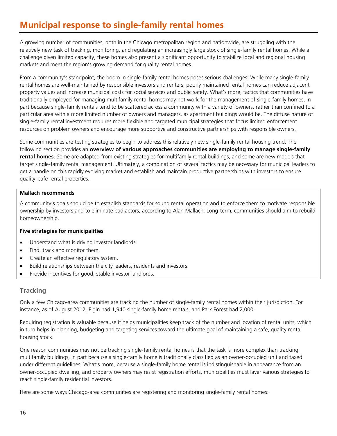# **Municipal response to single-family rental homes**

A growing number of communities, both in the Chicago metropolitan region and nationwide, are struggling with the relatively new task of tracking, monitoring, and regulating an increasingly large stock of single-family rental homes. While a challenge given limited capacity, these homes also present a significant opportunity to stabilize local and regional housing markets and meet the region's growing demand for quality rental homes.

From a community's standpoint, the boom in single-family rental homes poses serious challenges: While many single-family rental homes are well-maintained by responsible investors and renters, poorly maintained rental homes can reduce adjacent property values and increase municipal costs for social services and public safety. What's more, tactics that communities have traditionally employed for managing multifamily rental homes may not work for the management of single-family homes, in part because single-family rentals tend to be scattered across a community with a variety of owners, rather than confined to a particular area with a more limited number of owners and managers, as apartment buildings would be. The diffuse nature of single-family rental investment requires more flexible and targeted municipal strategies that focus limited enforcement resources on problem owners and encourage more supportive and constructive partnerships with responsible owners.

Some communities are testing strategies to begin to address this relatively new single-family rental housing trend. The following section provides an **overview of various approaches communities are employing to manage single-family rental homes**. Some are adapted from existing strategies for multifamily rental buildings, and some are new models that target single-family rental management. Ultimately, a combination of several tactics may be necessary for municipal leaders to get a handle on this rapidly evolving market and establish and maintain productive partnerships with investors to ensure quality, safe rental properties.

#### **Mallach recommends**

A community's goals should be to establish standards for sound rental operation and to enforce them to motivate responsible ownership by investors and to eliminate bad actors, according to Alan Mallach. Long-term, communities should aim to rebuild homeownership.

#### **Five strategies for municipalities**

- Understand what is driving investor landlords.
- Find, track and monitor them.
- Create an effective regulatory system.
- Build relationships between the city leaders, residents and investors.
- Provide incentives for good, stable investor landlords.

### **Tracking**

Only a few Chicago-area communities are tracking the number of single-family rental homes within their jurisdiction. For instance, as of August 2012, Elgin had 1,940 single-family home rentals, and Park Forest had 2,000.

Requiring registration is valuable because it helps municipalities keep track of the number and location of rental units, which in turn helps in planning, budgeting and targeting services toward the ultimate goal of maintaining a safe, quality rental housing stock.

One reason communities may not be tracking single-family rental homes is that the task is more complex than tracking multifamily buildings, in part because a single-family home is traditionally classified as an owner-occupied unit and taxed under different guidelines. What's more, because a single-family home rental is indistinguishable in appearance from an owner-occupied dwelling, and property owners may resist registration efforts, municipalities must layer various strategies to reach single-family residential investors.

Here are some ways Chicago-area communities are registering and monitoring single-family rental homes: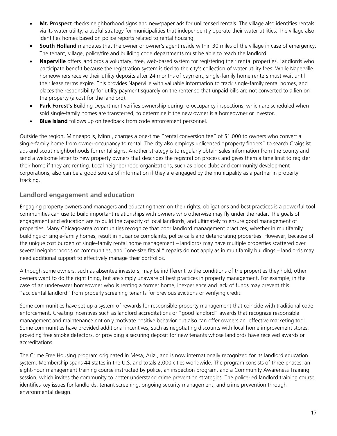- **Mt. Prospect** checks neighborhood signs and newspaper ads for unlicensed rentals. The village also identifies rentals via its water utility, a useful strategy for municipalities that independently operate their water utilities. The village also identifies homes based on police reports related to rental housing.
- **South Holland** mandates that the owner or owner's agent reside within 30 miles of the village in case of emergency. The tenant, village, police/fire and building code departments must be able to reach the landlord.
- **Naperville** offers landlords a voluntary, free, web-based system for registering their rental properties. Landlords who participate benefit because the registration system is tied to the city's collection of water utility fees: While Naperville homeowners receive their utility deposits after 24 months of payment, single-family home renters must wait until their lease terms expire. This provides Naperville with valuable information to track single-family rental homes, and places the responsibility for utility payment squarely on the renter so that unpaid bills are not converted to a lien on the property (a cost for the landlord).
- **Park Forest's** Building Department verifies ownership during re-occupancy inspections, which are scheduled when sold single-family homes are transferred, to determine if the new owner is a homeowner or investor.
- **Blue Island** follows up on feedback from code enforcement personnel.

Outside the region, Minneapolis, Minn., charges a one-time "rental conversion fee" of \$1,000 to owners who convert a single-family home from owner-occupancy to rental. The city also employs unlicensed "property finders" to search Craigslist ads and scout neighborhoods for rental signs. Another strategy is to regularly obtain sales information from the county and send a welcome letter to new property owners that describes the registration process and gives them a time limit to register their home if they are renting. Local neighborhood organizations, such as block clubs and community development corporations, also can be a good source of information if they are engaged by the municipality as a partner in property tracking.

# **Landlord engagement and education**

Engaging property owners and managers and educating them on their rights, obligations and best practices is a powerful tool communities can use to build important relationships with owners who otherwise may fly under the radar. The goals of engagement and education are to build the capacity of local landlords, and ultimately to ensure good management of properties. Many Chicago-area communities recognize that poor landlord management practices, whether in multifamily buildings or single-family homes, result in nuisance complaints, police calls and deteriorating properties. However, because of the unique cost burden of single-family rental home management – landlords may have multiple properties scattered over several neighborhoods or communities, and "one-size fits all" repairs do not apply as in multifamily buildings – landlords may need additional support to effectively manage their portfolios.

Although some owners, such as absentee investors, may be indifferent to the conditions of the properties they hold, other owners want to do the right thing, but are simply unaware of best practices in property management. For example, in the case of an underwater homeowner who is renting a former home, inexperience and lack of funds may prevent this "accidental landlord" from properly screening tenants for previous evictions or verifying credit.

Some communities have set up a system of rewards for responsible property management that coincide with traditional code enforcement. Creating incentives such as landlord accreditations or "good landlord" awards that recognize responsible management and maintenance not only motivate positive behavior but also can offer owners an effective marketing tool. Some communities have provided additional incentives, such as negotiating discounts with local home improvement stores, providing free smoke detectors, or providing a securing deposit for new tenants whose landlords have received awards or accreditations.

The Crime Free Housing program originated in Mesa, Ariz., and is now internationally recognized for its landlord education system. Membership spans 44 states in the U.S. and totals 2,000 cities worldwide. The program consists of three phases: an eight-hour management training course instructed by police, an inspection program, and a Community Awareness Training session, which invites the community to better understand crime prevention strategies. The police-led landlord training course identifies key issues for landlords: tenant screening, ongoing security management, and crime prevention through environmental design.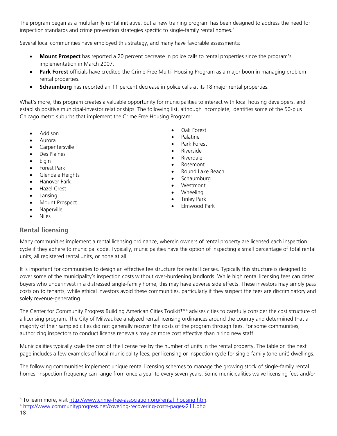The program began as a multifamily rental initiative, but a new training program has been designed to address the need for inspection standards and crime prevention strategies specific to single-family rental homes. $3$ 

Several local communities have employed this strategy, and many have favorable assessments:

- **Mount Prospect** has reported a 20 percent decrease in police calls to rental properties since the program's implementation in March 2007.
- **Park Forest** officials have credited the Crime-Free Multi- Housing Program as a major boon in managing problem rental properties.
- **Schaumburg** has reported an 11 percent decrease in police calls at its 18 major rental properties.

What's more, this program creates a valuable opportunity for municipalities to interact with local housing developers, and establish positive municipal-investor relationships. The following list, although incomplete, identifies some of the 50-plus Chicago metro suburbs that implement the Crime Free Housing Program:

- Addison
- Aurora
- Carpentersville
- Des Plaines
- Elgin
- Forest Park
- Glendale Heights
- Hanover Park
- Hazel Crest
- Lansing
- Mount Prospect
- Naperville
- Niles

# **Rental licensing**

- Oak Forest
- Palatine
- Park Forest
- **Riverside**
- Riverdale
- Rosemont
- Round Lake Beach
- Schaumburg
- Westmont
- Wheeling
- Tinley Park
- Elmwood Park

Many communities implement a rental licensing ordinance, wherein owners of rental property are licensed each inspection cycle if they adhere to municipal code. Typically, municipalities have the option of inspecting a small percentage of total rental units, all registered rental units, or none at all.

It is important for communities to design an effective fee structure for rental licenses. Typically this structure is designed to cover some of the municipality's inspection costs without over-burdening landlords. While high rental licensing fees can deter buyers who underinvest in a distressed single-family home, this may have adverse side effects: These investors may simply pass costs on to tenants, while ethical investors avoid these communities, particularly if they suspect the fees are discriminatory and solely revenue-generating.

The Center for Community Progress Building American Cities Toolkit™<sup>4</sup> advises cities to carefully consider the cost structure of a licensing program. The City of Milwaukee analyzed rental licensing ordinances around the country and determined that a majority of their sampled cities did not generally recover the costs of the program through fees. For some communities, authorizing inspectors to conduct license renewals may be more cost effective than hiring new staff.

Municipalities typically scale the cost of the license fee by the number of units in the rental property. The table on the next page includes a few examples of local municipality fees, per licensing or inspection cycle for single-family (one unit) dwellings.

The following communities implement unique rental licensing schemes to manage the growing stock of single-family rental homes. Inspection frequency can range from once a year to every seven years. Some municipalities waive licensing fees and/or

j

<sup>&</sup>lt;sup>3</sup> To learn more, visit http://www.crime-free-association.org/rental\_housing.htm.

<sup>4</sup> http://www.communityprogress.net/covering-recovering-costs-pages-211.php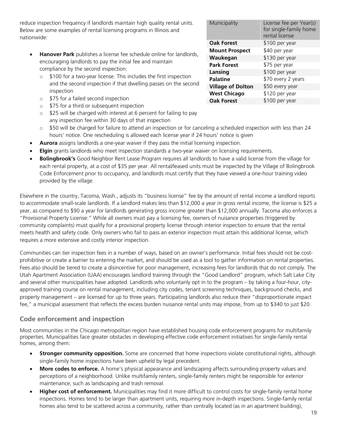reduce inspection frequency if landlords maintain high quality rental units. Below are some examples of rental licensing programs in Illinois and nationwide:

- **Hanover Park** publishes a license fee schedule online for landlords, encouraging landlords to pay the initial fee and maintain compliance by the second inspection:
	- o \$100 for a two-year license. This includes the first inspection and the second inspection if that dwelling passes on the second inspection
	- o \$75 for a failed second inspection
	- o \$75 for a third or subsequent inspection
	- $\circ$  \$25 will be charged with interest at 6 percent for failing to pay any inspection fee within 30 days of that inspection
	- $\circ$  \$50 will be charged for failure to attend an inspection or for canceling a scheduled inspection with less than 24 hours' notice. One rescheduling is allowed each license year if 24 hours' notice is given
- **Aurora** assigns landlords a one-year waiver if they pass the initial licensing inspection.
- **Elgin** grants landlords who meet inspection standards a two-year waiver on licensing requirements.
- **Bolingbrook's** Good Neighbor Rent Lease Program requires all landlords to have a valid license from the village for each rental property, at a cost of \$35 per year. All rental/leased units must be inspected by the Village of Bolingbrook Code Enforcement prior to occupancy, and landlords must certify that they have viewed a one-hour training video provided by the village.

Elsewhere in the country, Tacoma, Wash., adjusts its "business license" fee by the amount of rental income a landlord reports to accommodate small-scale landlords. If a landlord makes less than \$12,000 a year in gross rental income, the license is \$25 a year, as compared to \$90 a year for landlords generating gross income greater than \$12,000 annually. Tacoma also enforces a "Provisional Property License:" While all owners must pay a licensing fee, owners of nuisance properties (triggered by community complaints) must qualify for a provisional property license through interior inspection to ensure that the rental meets health and safety code. Only owners who fail to pass an exterior inspection must attain this additional license, which requires a more extensive and costly interior inspection.

Communities can tier inspection fees in a number of ways, based on an owner's performance. Initial fees should not be costprohibitive or create a barrier to entering the market, and should be used as a tool to gather information on rental properties. Fees also should be tiered to create a disincentive for poor management, increasing fees for landlords that do not comply. The Utah Apartment Association (UAA) encourages landlord training through the "Good Landlord" program, which Salt Lake City and several other municipalities have adopted. Landlords who voluntarily opt in to the program – by taking a four-hour, cityapproved training course on rental management, including city codes, tenant screening techniques, background checks, and property management – are licensed for up to three years. Participating landlords also reduce their "disproportionate impact fee," a municipal assessment that reflects the excess burden nuisance rental units may impose, from up to \$340 to just \$20.

# **Code enforcement and inspection**

Most communities in the Chicago metropolitan region have established housing code enforcement programs for multifamily properties. Municipalities face greater obstacles in developing effective code enforcement initiatives for single-family rental homes, among them:

- **Stronger community opposition.** Some are concerned that home inspections violate constitutional rights, although single-family home inspections have been upheld by legal precedent.
- **More codes to enforce.** A home's physical appearance and landscaping affects surrounding property values and perceptions of a neighborhood. Unlike multifamily renters, single-family renters might be responsible for exterior maintenance, such as landscaping and trash removal.
- **Higher cost of enforcement.** Municipalities may find it more difficult to control costs for single-family rental home inspections. Homes tend to be larger than apartment units, requiring more in-depth inspections. Single-family rental homes also tend to be scattered across a community, rather than centrally located (as in an apartment building),

| Municipality             | License fee per Year(s)<br>for single-family home<br>rental license |
|--------------------------|---------------------------------------------------------------------|
| <b>Oak Forest</b>        | \$100 per year                                                      |
| <b>Mount Prospect</b>    | \$40 per year                                                       |
| Waukegan                 | \$130 per year                                                      |
| <b>Park Forest</b>       | \$75 per year                                                       |
| Lansing                  | \$100 per year                                                      |
| <b>Palatine</b>          | \$70 every 2 years                                                  |
| <b>Village of Dolton</b> | \$50 every year                                                     |
| <b>West Chicago</b>      | \$120 per year                                                      |
| <b>Oak Forest</b>        | \$100 per year                                                      |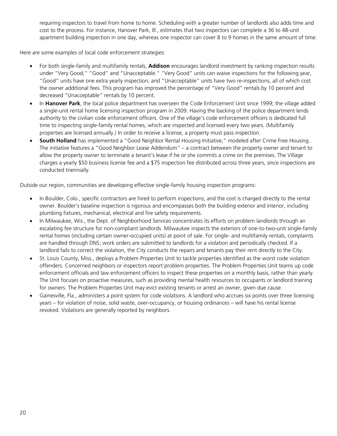requiring inspectors to travel from home to home. Scheduling with a greater number of landlords also adds time and cost to the process. For instance, Hanover Park, Ill., estimates that two inspectors can complete a 36 to 48-unit apartment building inspection in one day, whereas one inspector can cover 8 to 9 homes in the same amount of time.

Here are some examples of local code enforcement strategies:

- For both single-family and multifamily rentals, **Addison** encourages landlord investment by ranking inspection results under "Very Good," "Good" and "Unacceptable." "Very Good" units can waive inspections for the following year, "Good" units have one extra yearly inspection, and "Unacceptable" units have two re-inspections, all of which cost the owner additional fees. This program has improved the percentage of "Very Good" rentals by 10 percent and decreased "Unacceptable" rentals by 10 percent.
- In **Hanover Park**, the local police department has overseen the Code Enforcement Unit since 1999; the village added a single-unit rental home licensing inspection program in 2009. Having the backing of the police department lends authority to the civilian code enforcement officers. One of the village's code enforcement officers is dedicated full time to inspecting single-family rental homes, which are inspected and licensed every two years. (Multifamily properties are licensed annually.) In order to receive a license, a property must pass inspection.
- **South Holland** has implemented a "Good Neighbor Rental Housing Initiative," modeled after Crime Free Housing.. The initiative features a "Good Neighbor Lease Addendum" – a contract between the property owner and tenant to allow the property owner to terminate a tenant's lease if he or she commits a crime on the premises. The Village charges a yearly \$50 business license fee and a \$75 inspection fee distributed across three years, since inspections are conducted triennially.

Outside our region, communities are developing effective single-family housing inspection programs:

- In Boulder, Colo., specific contractors are hired to perform inspections, and the cost is charged directly to the rental owner. Boulder's baseline inspection is rigorous and encompasses both the building exterior and interior, including plumbing fixtures, mechanical, electrical and fire safety requirements.
- In Milwaukee, Wis., the Dept. of Neighborhood Services concentrates its efforts on problem landlords through an escalating fee structure for non-compliant landlords. Milwaukee inspects the exteriors of one-to-two-unit single-family rental homes (including certain owner-occupied units) at point of sale. For single- and multifamily rentals, complaints are handled through DNS; work orders are submitted to landlords for a violation and periodically checked. If a landlord fails to correct the violation, the City conducts the repairs and tenants pay their rent directly to the City.
- St. Louis County, Miss., deploys a Problem Properties Unit to tackle properties identified as the worst code violation offenders. Concerned neighbors or inspectors report problem properties. The Problem Properties Unit teams up code enforcement officials and law enforcement officers to inspect these properties on a monthly basis, rather than yearly. The Unit focuses on proactive measures, such as providing mental health resources to occupants or landlord training for owners. The Problem Properties Unit may evict existing tenants or arrest an owner, given due cause.
- Gainesville, Fla., administers a point system for code violations. A landlord who accrues six points over three licensing years – for violation of noise, solid waste, over-occupancy, or housing ordinances – will have his rental license revoked. Violations are generally reported by neighbors.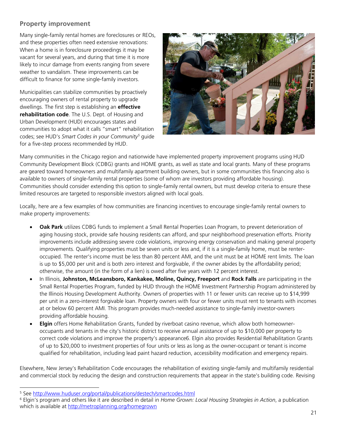# **Property improvement**

Many single-family rental homes are foreclosures or REOs, and these properties often need extensive renovations: When a home is in foreclosure proceedings it may be vacant for several years, and during that time it is more likely to incur damage from events ranging from severe weather to vandalism. These improvements can be difficult to finance for some single-family investors.

Municipalities can stabilize communities by proactively encouraging owners of rental property to upgrade dwellings. The first step is establishing an **effective rehabilitation code**. The U.S. Dept. of Housing and Urban Development (HUD) encourages states and communities to adopt what it calls "smart" rehabilitation codes; see HUD's *Smart Codes in your Community<sup>5</sup>* guide for a five-step process recommended by HUD.



Many communities in the Chicago region and nationwide have implemented property improvement programs using HUD Community Development Block (CDBG) grants and HOME grants, as well as state and local grants. Many of these programs are geared toward homeowners and multifamily apartment building owners, but in some communities this financing also is available to owners of single-family rental properties (some of whom are investors providing affordable housing). Communities should consider extending this option to single-family rental owners, but must develop criteria to ensure these limited resources are targeted to responsible investors aligned with local goals.

Locally, here are a few examples of how communities are financing incentives to encourage single-family rental owners to make property improvements:

- **Oak Park** utilizes CDBG funds to implement a Small Rental Properties Loan Program, to prevent deterioration of aging housing stock, provide safe housing residents can afford, and spur neighborhood preservation efforts. Priority improvements include addressing severe code violations, improving energy conservation and making general property improvements. Qualifying properties must be seven units or less and, if it is a single-family home, must be renteroccupied. The renter's income must be less than 80 percent AMI, and the unit must be at HOME rent limits. The loan is up to \$5,000 per unit and is both zero interest and forgivable, if the owner abides by the affordability period; otherwise, the amount (in the form of a lien) is owed after five years with 12 percent interest.
- In Illinois, **Johnston, McLeansboro, Kankakee, Moline, Quincy, Freeport** and **Rock Falls** are participating in the Small Rental Properties Program, funded by HUD through the HOME Investment Partnership Program administered by the Illinois Housing Development Authority. Owners of properties with 11 or fewer units can receive up to \$14,999 per unit in a zero-interest forgivable loan. Property owners with four or fewer units must rent to tenants with incomes at or below 60 percent AMI. This program provides much-needed assistance to single-family investor-owners providing affordable housing.
- **Elgin** offers Home Rehabilitation Grants, funded by riverboat casino revenue, which allow both homeowneroccupants and tenants in the city's historic district to receive annual assistance of up to \$10,000 per property to correct code violations and improve the property's appearance6. Elgin also provides Residential Rehabilitation Grants of up to \$20,000 to investment properties of four units or less as long as the owner-occupant or tenant is income qualified for rehabilitation, including lead paint hazard reduction, accessibility modification and emergency repairs.

Elsewhere, New Jersey's Rehabilitation Code encourages the rehabilitation of existing single-family and multifamily residential and commercial stock by reducing the design and construction requirements that appear in the state's building code. Revising

j

<sup>&</sup>lt;sup>5</sup> See http://www.huduser.org/portal/publications/destech/smartcodes.html

<sup>6</sup> Elgin's program and others like it are described in detail in *Home Grown: Local Housing Strategies in Action*, a publication which is available at http://metroplanning.org/homegrown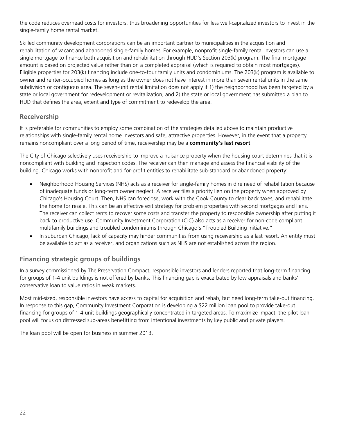the code reduces overhead costs for investors, thus broadening opportunities for less well-capitalized investors to invest in the single-family home rental market.

Skilled community development corporations can be an important partner to municipalities in the acquisition and rehabilitation of vacant and abandoned single-family homes. For example, nonprofit single-family rental investors can use a single mortgage to finance both acquisition and rehabilitation through HUD's Section 203(k) program. The final mortgage amount is based on projected value rather than on a completed appraisal (which is required to obtain most mortgages). Eligible properties for 203(k) financing include one-to-four family units and condominiums. The 203(k) program is available to owner and renter-occupied homes as long as the owner does not have interest in more than seven rental units in the same subdivision or contiguous area. The seven-unit rental limitation does not apply if 1) the neighborhood has been targeted by a state or local government for redevelopment or revitalization; and 2) the state or local government has submitted a plan to HUD that defines the area, extent and type of commitment to redevelop the area.

# **Receivership**

It is preferable for communities to employ some combination of the strategies detailed above to maintain productive relationships with single-family rental home investors and safe, attractive properties. However, in the event that a property remains noncompliant over a long period of time, receivership may be a **community's last resort**.

The City of Chicago selectively uses receivership to improve a nuisance property when the housing court determines that it is noncompliant with building and inspection codes. The receiver can then manage and assess the financial viability of the building. Chicago works with nonprofit and for-profit entities to rehabilitate sub-standard or abandoned property:

- Neighborhood Housing Services (NHS) acts as a receiver for single-family homes in dire need of rehabilitation because of inadequate funds or long-term owner neglect. A receiver files a priority lien on the property when approved by Chicago's Housing Court. Then, NHS can foreclose, work with the Cook County to clear back taxes, and rehabilitate the home for resale. This can be an effective exit strategy for problem properties with second mortgages and liens. The receiver can collect rents to recover some costs and transfer the property to responsible ownership after putting it back to productive use. Community Investment Corporation (CIC) also acts as a receiver for non-code compliant multifamily buildings and troubled condominiums through Chicago's "Troubled Building Initiative."
- In suburban Chicago, lack of capacity may hinder communities from using receivership as a last resort. An entity must be available to act as a receiver, and organizations such as NHS are not established across the region.

# **Financing strategic groups of buildings**

In a survey commissioned by The Preservation Compact, responsible investors and lenders reported that long-term financing for groups of 1-4 unit buildings is not offered by banks. This financing gap is exacerbated by low appraisals and banks' conservative loan to value ratios in weak markets.

Most mid-sized, responsible investors have access to capital for acquisition and rehab, but need long-term take-out financing. In response to this gap, Community Investment Corporation is developing a \$22 million loan pool to provide take-out financing for groups of 1-4 unit buildings geographically concentrated in targeted areas. To maximize impact, the pilot loan pool will focus on distressed sub-areas benefitting from intentional investments by key public and private players.

The loan pool will be open for business in summer 2013.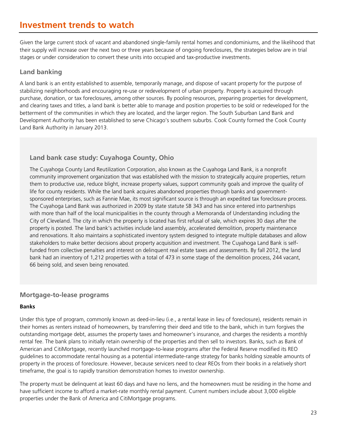# **Investment trends to watch**

Given the large current stock of vacant and abandoned single-family rental homes and condominiums, and the likelihood that their supply will increase over the next two or three years because of ongoing foreclosures, the strategies below are in trial stages or under consideration to convert these units into occupied and tax-productive investments.

### **Land banking**

A land bank is an entity established to assemble, temporarily manage, and dispose of vacant property for the purpose of stabilizing neighborhoods and encouraging re-use or redevelopment of urban property. Property is acquired through purchase, donation, or tax foreclosures, among other sources. By pooling resources, preparing properties for development, and clearing taxes and titles, a land bank is better able to manage and position properties to be sold or redeveloped for the betterment of the communities in which they are located, and the larger region. The South Suburban Land Bank and Development Authority has been established to serve Chicago's southern suburbs. Cook County formed the Cook County Land Bank Authority in January 2013.

### **Land bank case study: Cuyahoga County, Ohio**

The Cuyahoga County Land Reutilization Corporation, also known as the Cuyahoga Land Bank, is a nonprofit community improvement organization that was established with the mission to strategically acquire properties, return them to productive use, reduce blight, increase property values, support community goals and improve the quality of life for county residents. While the land bank acquires abandoned properties through banks and governmentsponsored enterprises, such as Fannie Mae, its most significant source is through an expedited tax foreclosure process. The Cuyahoga Land Bank was authorized in 2009 by state statute SB 343 and has since entered into partnerships with more than half of the local municipalities in the county through a Memoranda of Understanding including the City of Cleveland. The city in which the property is located has first refusal of sale, which expires 30 days after the property is posted. The land bank's activities include land assembly, accelerated demolition, property maintenance and renovations. It also maintains a sophisticated inventory system designed to integrate multiple databases and allow stakeholders to make better decisions about property acquisition and investment. The Cuyahoga Land Bank is selffunded from collective penalties and interest on delinquent real estate taxes and assessments. By fall 2012, the land bank had an inventory of 1,212 properties with a total of 473 in some stage of the demolition process, 244 vacant, 66 being sold, and seven being renovated.

#### **Mortgage-to-lease programs**

#### **Banks**

Under this type of program, commonly known as deed-in-lieu (i.e., a rental lease in lieu of foreclosure), residents remain in their homes as renters instead of homeowners, by transferring their deed and title to the bank, which in turn forgives the outstanding mortgage debt, assumes the property taxes and homeowner's insurance, and charges the residents a monthly rental fee. The bank plans to initially retain ownership of the properties and then sell to investors. Banks, such as Bank of American and CitiMortgage, recently launched mortgage-to-lease programs after the Federal Reserve modified its REO guidelines to accommodate rental housing as a potential intermediate-range strategy for banks holding sizeable amounts of property in the process of foreclosure. However, because servicers need to clear REOs from their books in a relatively short timeframe, the goal is to rapidly transition demonstration homes to investor ownership.

The property must be delinquent at least 60 days and have no liens, and the homeowners must be residing in the home and have sufficient income to afford a market-rate monthly rental payment. Current numbers include about 3,000 eligible properties under the Bank of America and CitiMortgage programs.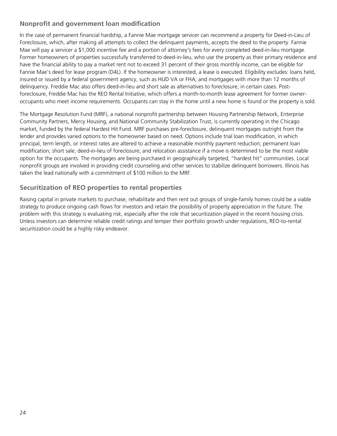# **Nonprofit and government loan modification**

In the case of permanent financial hardship, a Fannie Mae mortgage servicer can recommend a property for Deed-in-Lieu of Foreclosure, which, after making all attempts to collect the delinquent payments, accepts the deed to the property. Fannie Mae will pay a servicer a \$1,000 incentive fee and a portion of attorney's fees for every completed deed-in-lieu mortgage. Former homeowners of properties successfully transferred to deed-in-lieu, who use the property as their primary residence and have the financial ability to pay a market rent not to exceed 31 percent of their gross monthly income, can be eligible for Fannie Mae's deed for lease program (D4L). If the homeowner is interested, a lease is executed. Eligibility excludes: loans held, insured or issued by a federal government agency, such as HUD VA or FHA; and mortgages with more than 12 months of delinquency. Freddie Mac also offers deed-in-lieu and short sale as alternatives to foreclosure, in certain cases. Postforeclosure, Freddie Mac has the REO Rental Initiative, which offers a month-to-month lease agreement for former owneroccupants who meet income requirements. Occupants can stay in the home until a new home is found or the property is sold.

The Mortgage Resolution Fund (MRF), a national nonprofit partnership between Housing Partnership Network, Enterprise Community Partners, Mercy Housing, and National Community Stabilization Trust, is currently operating in the Chicago market, funded by the federal Hardest Hit Fund. MRF purchases pre-foreclosure, delinquent mortgages outright from the lender and provides varied options to the homeowner based on need. Options include trial loan modification, in which principal, term length, or interest rates are altered to achieve a reasonable monthly payment reduction; permanent loan modification; short sale; deed-in-lieu of foreclosure; and relocation assistance if a move is determined to be the most viable option for the occupants. The mortgages are being purchased in geographically targeted, "hardest hit" communities. Local nonprofit groups are involved in providing credit counseling and other services to stabilize delinquent borrowers. Illinois has taken the lead nationally with a commitment of \$100 million to the MRF.

# **Securitization of REO properties to rental properties**

Raising capital in private markets to purchase, rehabilitate and then rent out groups of single-family homes could be a viable strategy to produce ongoing cash flows for investors and retain the possibility of property appreciation in the future. The problem with this strategy is evaluating risk, especially after the role that securitization played in the recent housing crisis. Unless investors can determine reliable credit ratings and temper their portfolio growth under regulations, REO-to-rental securitization could be a highly risky endeavor.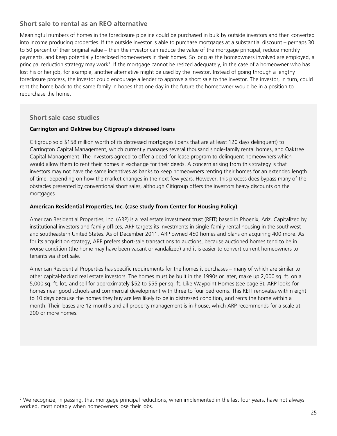# **Short sale to rental as an REO alternative**

Meaningful numbers of homes in the foreclosure pipeline could be purchased in bulk by outside investors and then converted into income producing properties. If the outside investor is able to purchase mortgages at a substantial discount – perhaps 30 to 50 percent of their original value – then the investor can reduce the value of the mortgage principal, reduce monthly payments, and keep potentially foreclosed homeowners in their homes. So long as the homeowners involved are employed, a principal reduction strategy may work<sup>7</sup>. If the mortgage cannot be resized adequately, in the case of a homeowner who has lost his or her job, for example, another alternative might be used by the investor. Instead of going through a lengthy foreclosure process, the investor could encourage a lender to approve a short sale to the investor. The investor, in turn, could rent the home back to the same family in hopes that one day in the future the homeowner would be in a position to repurchase the home.

### **Short sale case studies**

-

#### **Carrington and Oaktree buy Citigroup's distressed loans**

Citigroup sold \$158 million worth of its distressed mortgages (loans that are at least 120 days delinquent) to Carrington Capital Management, which currently manages several thousand single-family rental homes, and Oaktree Capital Management. The investors agreed to offer a deed-for-lease program to delinquent homeowners which would allow them to rent their homes in exchange for their deeds. A concern arising from this strategy is that investors may not have the same incentives as banks to keep homeowners renting their homes for an extended length of time, depending on how the market changes in the next few years. However, this process does bypass many of the obstacles presented by conventional short sales, although Citigroup offers the investors heavy discounts on the mortgages.

#### **American Residential Properties, Inc. (case study from Center for Housing Policy)**

American Residential Properties, Inc. (ARP) is a real estate investment trust (REIT) based in Phoenix, Ariz. Capitalized by institutional investors and family offices, ARP targets its investments in single-family rental housing in the southwest and southeastern United States. As of December 2011, ARP owned 450 homes and plans on acquiring 400 more. As for its acquisition strategy, ARP prefers short-sale transactions to auctions, because auctioned homes tend to be in worse condition (the home may have been vacant or vandalized) and it is easier to convert current homeowners to tenants via short sale.

American Residential Properties has specific requirements for the homes it purchases – many of which are similar to other capital-backed real estate investors. The homes must be built in the 1990s or later, make up 2,000 sq. ft. on a 5,000 sq. ft. lot, and sell for approximately \$52 to \$55 per sq. ft. Like Waypoint Homes (see page 3), ARP looks for homes near good schools and commercial development with three to four bedrooms. This REIT renovates within eight to 10 days because the homes they buy are less likely to be in distressed condition, and rents the home within a month. Their leases are 12 months and all property management is in-house, which ARP recommends for a scale at 200 or more homes.

<sup>7</sup> We recognize, in passing, that mortgage principal reductions, when implemented in the last four years, have not always worked, most notably when homeowners lose their jobs.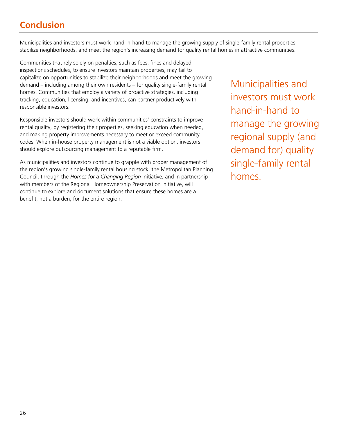# **Conclusion**

Municipalities and investors must work hand-in-hand to manage the growing supply of single-family rental properties, stabilize neighborhoods, and meet the region's increasing demand for quality rental homes in attractive communities.

Communities that rely solely on penalties, such as fees, fines and delayed inspections schedules, to ensure investors maintain properties, may fail to capitalize on opportunities to stabilize their neighborhoods and meet the growing demand – including among their own residents – for quality single-family rental homes. Communities that employ a variety of proactive strategies, including tracking, education, licensing, and incentives, can partner productively with responsible investors.

Responsible investors should work within communities' constraints to improve rental quality, by registering their properties, seeking education when needed, and making property improvements necessary to meet or exceed community codes. When in-house property management is not a viable option, investors should explore outsourcing management to a reputable firm.

As municipalities and investors continue to grapple with proper management of the region's growing single-family rental housing stock, the Metropolitan Planning Council, through the *Homes for a Changing Region* initiative, and in partnership with members of the Regional Homeownership Preservation Initiative, will continue to explore and document solutions that ensure these homes are a benefit, not a burden, for the entire region.

Municipalities and investors must work hand-in-hand to manage the growing regional supply (and demand for) quality single-family rental homes.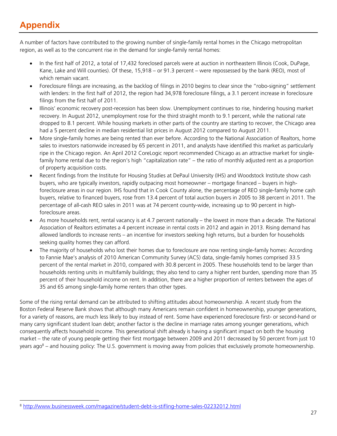# **Appendix**

A number of factors have contributed to the growing number of single-family rental homes in the Chicago metropolitan region, as well as to the concurrent rise in the demand for single-family rental homes:

- In the first half of 2012, a total of 17,432 foreclosed parcels were at auction in northeastern Illinois (Cook, DuPage, Kane, Lake and Will counties). Of these, 15,918 – or 91.3 percent – were repossessed by the bank (REO), most of which remain vacant.
- Foreclosure filings are increasing, as the backlog of filings in 2010 begins to clear since the "robo-signing" settlement with lenders: In the first half of 2012, the region had 34,978 foreclosure filings, a 3.1 percent increase in foreclosure filings from the first half of 2011.
- Illinois' economic recovery post-recession has been slow. Unemployment continues to rise, hindering housing market recovery. In August 2012, unemployment rose for the third straight month to 9.1 percent, while the national rate dropped to 8.1 percent. While housing markets in other parts of the country are starting to recover, the Chicago area had a 5 percent decline in median residential list prices in August 2012 compared to August 2011.
- More single-family homes are being rented than ever before. According to the National Association of Realtors, home sales to investors nationwide increased by 65 percent in 2011, and analysts have identified this market as particularly ripe in the Chicago region. An April 2012 CoreLogic report recommended Chicago as an attractive market for singlefamily home rental due to the region's high "capitalization rate" – the ratio of monthly adjusted rent as a proportion of property acquisition costs.
- Recent findings from the Institute for Housing Studies at DePaul University (IHS) and Woodstock Institute show cash buyers, who are typically investors, rapidly outpacing most homeowner – mortgage financed – buyers in highforeclosure areas in our region. IHS found that in Cook County alone, the percentage of REO single-family home cash buyers, relative to financed buyers, rose from 13.4 percent of total auction buyers in 2005 to 38 percent in 2011. The percentage of all-cash REO sales in 2011 was at 74 percent county-wide, increasing up to 90 percent in highforeclosure areas.
- As more households rent, rental vacancy is at 4.7 percent nationally the lowest in more than a decade. The National Association of Realtors estimates a 4 percent increase in rental costs in 2012 and again in 2013. Rising demand has allowed landlords to increase rents – an incentive for investors seeking high returns, but a burden for households seeking quality homes they can afford.
- The majority of households who lost their homes due to foreclosure are now renting single-family homes: According to Fannie Mae's analysis of 2010 American Community Survey (ACS) data, single-family homes comprised 33.5 percent of the rental market in 2010, compared with 30.8 percent in 2005. These households tend to be larger than households renting units in multifamily buildings; they also tend to carry a higher rent burden, spending more than 35 percent of their household income on rent. In addition, there are a higher proportion of renters between the ages of 35 and 65 among single-family home renters than other types.

Some of the rising rental demand can be attributed to shifting attitudes about homeownership. A recent study from the Boston Federal Reserve Bank shows that although many Americans remain confident in homeownership, younger generations, for a variety of reasons, are much less likely to buy instead of rent. Some have experienced foreclosure first- or second-hand or many carry significant student loan debt; another factor is the decline in marriage rates among younger generations, which consequently affects household income. This generational shift already is having a significant impact on both the housing market – the rate of young people getting their first mortgage between 2009 and 2011 decreased by 50 percent from just 10 years ago<sup>8</sup> – and housing policy: The U.S. government is moving away from policies that exclusively promote homeownership.

<sup>-</sup><sup>8</sup> http://www.businessweek.com/magazine/student-debt-is-stifling-home-sales-02232012.html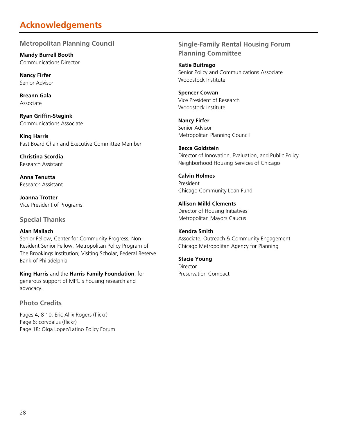# **Acknowledgements**

# **Metropolitan Planning Council**

**Mandy Burrell Booth** Communications Director

**Nancy Firfer** Senior Advisor

**Breann Gala** Associate

**Ryan Griffin-Stegink** Communications Associate

**King Harris** Past Board Chair and Executive Committee Member

**Christina Scordia** Research Assistant

**Anna Tenutta** Research Assistant

**Joanna Trotter** Vice President of Programs

# **Special Thanks**

### **Alan Mallach**

Senior Fellow, Center for Community Progress; Non-Resident Senior Fellow, Metropolitan Policy Program of The Brookings Institution; Visiting Scholar, Federal Reserve Bank of Philadelphia

**King Harris** and the **Harris Family Foundation**, for generous support of MPC's housing research and advocacy.

# **Photo Credits**

Pages 4, 8 10: Eric Allix Rogers (flickr) Page 6: corydalus (flickr) Page 18: Olga Lopez/Latino Policy Forum

# **Single-Family Rental Housing Forum Planning Committee**

**Katie Buitrago**  Senior Policy and Communications Associate Woodstock Institute

**Spencer Cowan**  Vice President of Research Woodstock Institute

**Nancy Firfer** Senior Advisor Metropolitan Planning Council

**Becca Goldstein** Director of Innovation, Evaluation, and Public Policy Neighborhood Housing Services of Chicago

**Calvin Holmes** President Chicago Community Loan Fund

**Allison Milld Clements** Director of Housing Initiatives Metropolitan Mayors Caucus

#### **Kendra Smith** Associate, Outreach & Community Engagement Chicago Metropolitan Agency for Planning

### **Stacie Young**

Director Preservation Compact